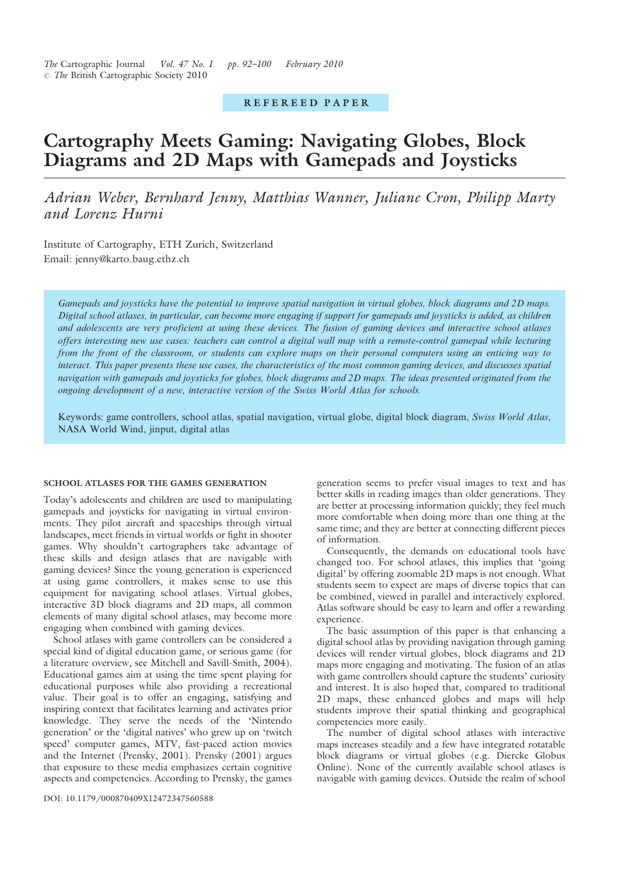# REFEREED PAPER

# Cartography Meets Gaming: Navigating Globes, Block Diagrams and 2D Maps with Gamepads and Joysticks

Adrian Weber, Bernhard Jenny, Matthias Wanner, Juliane Cron, Philipp Marty and Lorenz Hurni

Institute of Cartography, ETH Zurich, Switzerland Email: jenny@karto.baug.ethz.ch

Gamepads and joysticks have the potential to improve spatial navigation in virtual globes, block diagrams and 2D maps. Digital school atlases, in particular, can become more engaging if support for gamepads and joysticks is added, as children and adolescents are very proficient at using these devices. The fusion of gaming devices and interactive school atlases offers interesting new use cases: teachers can control a digital wall map with a remote-control gamepad while lecturing from the front of the classroom, or students can explore maps on their personal computers using an enticing way to interact. This paper presents these use cases, the characteristics of the most common gaming devices, and discusses spatial navigation with gamepads and joysticks for globes, block diagrams and 2D maps. The ideas presented originated from the ongoing development of a new, interactive version of the Swiss World Atlas for schools.

Keywords: game controllers, school atlas, spatial navigation, virtual globe, digital block diagram, Swiss World Atlas, NASA World Wind, jinput, digital atlas

## SCHOOL ATLASES FOR THE GAMES GENERATION

Today's adolescents and children are used to manipulating gamepads and joysticks for navigating in virtual environments. They pilot aircraft and spaceships through virtual landscapes, meet friends in virtual worlds or fight in shooter games. Why shouldn't cartographers take advantage of these skills and design atlases that are navigable with gaming devices? Since the young generation is experienced at using game controllers, it makes sense to use this equipment for navigating school atlases. Virtual globes, interactive 3D block diagrams and 2D maps, all common elements of many digital school atlases, may become more engaging when combined with gaming devices.

School atlases with game controllers can be considered a special kind of digital education game, or serious game (for a literature overview, see Mitchell and Savill-Smith, 2004). Educational games aim at using the time spent playing for educational purposes while also providing a recreational value. Their goal is to offer an engaging, satisfying and inspiring context that facilitates learning and activates prior knowledge. They serve the needs of the 'Nintendo generation' or the 'digital natives' who grew up on 'twitch speed' computer games, MTV, fast-paced action movies and the Internet (Prensky, 2001). Prensky (2001) argues that exposure to these media emphasizes certain cognitive aspects and competencies. According to Prensky, the games

generation seems to prefer visual images to text and has better skills in reading images than older generations. They are better at processing information quickly; they feel much more comfortable when doing more than one thing at the same time; and they are better at connecting different pieces of information.

Consequently, the demands on educational tools have changed too. For school atlases, this implies that 'going digital' by offering zoomable 2D maps is not enough. What students seem to expect are maps of diverse topics that can be combined, viewed in parallel and interactively explored. Atlas software should be easy to learn and offer a rewarding experience.

The basic assumption of this paper is that enhancing a digital school atlas by providing navigation through gaming devices will render virtual globes, block diagrams and 2D maps more engaging and motivating. The fusion of an atlas with game controllers should capture the students' curiosity and interest. It is also hoped that, compared to traditional 2D maps, these enhanced globes and maps will help students improve their spatial thinking and geographical competencies more easily.

The number of digital school atlases with interactive maps increases steadily and a few have integrated rotatable block diagrams or virtual globes (e.g. Diercke Globus Online). None of the currently available school atlases is navigable with gaming devices. Outside the realm of school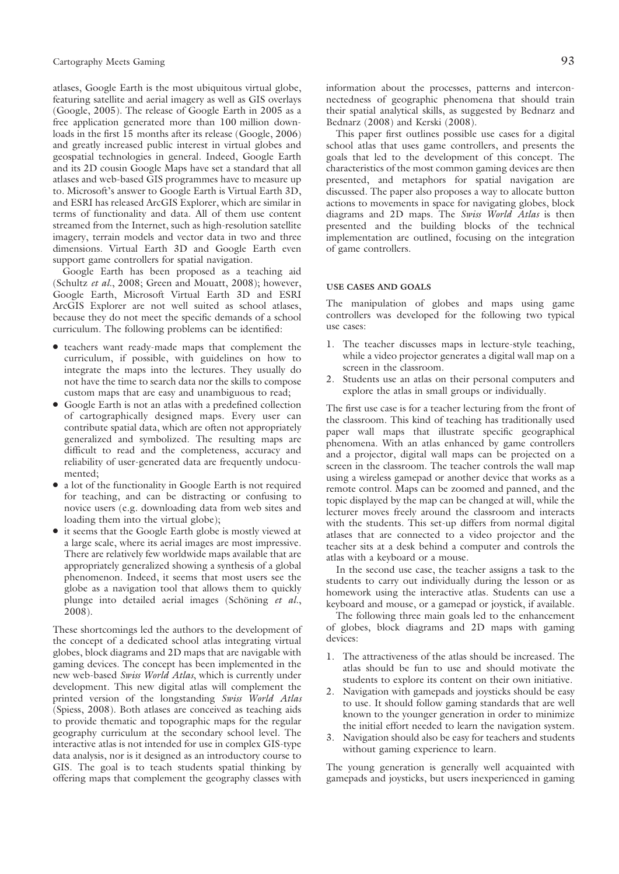atlases, Google Earth is the most ubiquitous virtual globe, featuring satellite and aerial imagery as well as GIS overlays (Google, 2005). The release of Google Earth in 2005 as a free application generated more than 100 million downloads in the first 15 months after its release (Google, 2006) and greatly increased public interest in virtual globes and geospatial technologies in general. Indeed, Google Earth and its 2D cousin Google Maps have set a standard that all atlases and web-based GIS programmes have to measure up to. Microsoft's answer to Google Earth is Virtual Earth 3D, and ESRI has released ArcGIS Explorer, which are similar in terms of functionality and data. All of them use content streamed from the Internet, such as high-resolution satellite imagery, terrain models and vector data in two and three dimensions. Virtual Earth 3D and Google Earth even support game controllers for spatial navigation.

Google Earth has been proposed as a teaching aid (Schultz et al., 2008; Green and Mouatt, 2008); however, Google Earth, Microsoft Virtual Earth 3D and ESRI ArcGIS Explorer are not well suited as school atlases, because they do not meet the specific demands of a school curriculum. The following problems can be identified:

- N teachers want ready-made maps that complement the curriculum, if possible, with guidelines on how to integrate the maps into the lectures. They usually do not have the time to search data nor the skills to compose custom maps that are easy and unambiguous to read;
- Google Earth is not an atlas with a predefined collection of cartographically designed maps. Every user can contribute spatial data, which are often not appropriately generalized and symbolized. The resulting maps are difficult to read and the completeness, accuracy and reliability of user-generated data are frequently undocumented;
- $\bullet$  a lot of the functionality in Google Earth is not required for teaching, and can be distracting or confusing to novice users (e.g. downloading data from web sites and loading them into the virtual globe);
- it seems that the Google Earth globe is mostly viewed at a large scale, where its aerial images are most impressive. There are relatively few worldwide maps available that are appropriately generalized showing a synthesis of a global phenomenon. Indeed, it seems that most users see the globe as a navigation tool that allows them to quickly plunge into detailed aerial images (Schöning  $et \ al.,$ 2008).

These shortcomings led the authors to the development of the concept of a dedicated school atlas integrating virtual globes, block diagrams and 2D maps that are navigable with gaming devices. The concept has been implemented in the new web-based Swiss World Atlas, which is currently under development. This new digital atlas will complement the printed version of the longstanding Swiss World Atlas (Spiess, 2008). Both atlases are conceived as teaching aids to provide thematic and topographic maps for the regular geography curriculum at the secondary school level. The interactive atlas is not intended for use in complex GIS-type data analysis, nor is it designed as an introductory course to GIS. The goal is to teach students spatial thinking by offering maps that complement the geography classes with

information about the processes, patterns and interconnectedness of geographic phenomena that should train their spatial analytical skills, as suggested by Bednarz and Bednarz (2008) and Kerski (2008).

This paper first outlines possible use cases for a digital school atlas that uses game controllers, and presents the goals that led to the development of this concept. The characteristics of the most common gaming devices are then presented, and metaphors for spatial navigation are discussed. The paper also proposes a way to allocate button actions to movements in space for navigating globes, block diagrams and 2D maps. The Swiss World Atlas is then presented and the building blocks of the technical implementation are outlined, focusing on the integration of game controllers.

#### USE CASES AND GOALS

The manipulation of globes and maps using game controllers was developed for the following two typical use cases:

- 1. The teacher discusses maps in lecture-style teaching, while a video projector generates a digital wall map on a screen in the classroom.
- 2. Students use an atlas on their personal computers and explore the atlas in small groups or individually.

The first use case is for a teacher lecturing from the front of the classroom. This kind of teaching has traditionally used paper wall maps that illustrate specific geographical phenomena. With an atlas enhanced by game controllers and a projector, digital wall maps can be projected on a screen in the classroom. The teacher controls the wall map using a wireless gamepad or another device that works as a remote control. Maps can be zoomed and panned, and the topic displayed by the map can be changed at will, while the lecturer moves freely around the classroom and interacts with the students. This set-up differs from normal digital atlases that are connected to a video projector and the teacher sits at a desk behind a computer and controls the atlas with a keyboard or a mouse.

In the second use case, the teacher assigns a task to the students to carry out individually during the lesson or as homework using the interactive atlas. Students can use a keyboard and mouse, or a gamepad or joystick, if available.

The following three main goals led to the enhancement of globes, block diagrams and 2D maps with gaming devices:

- 1. The attractiveness of the atlas should be increased. The atlas should be fun to use and should motivate the students to explore its content on their own initiative.
- 2. Navigation with gamepads and joysticks should be easy to use. It should follow gaming standards that are well known to the younger generation in order to minimize the initial effort needed to learn the navigation system.
- 3. Navigation should also be easy for teachers and students without gaming experience to learn.

The young generation is generally well acquainted with gamepads and joysticks, but users inexperienced in gaming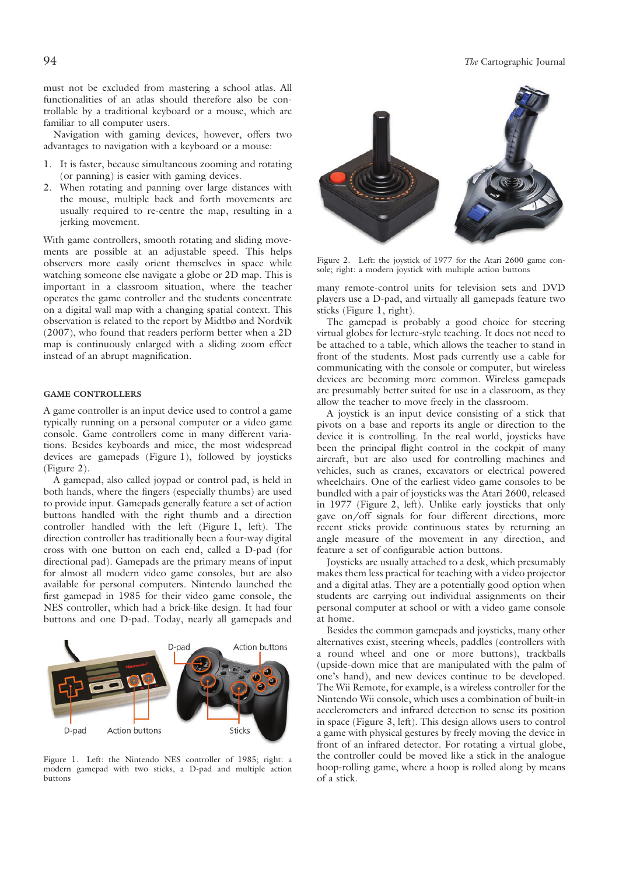must not be excluded from mastering a school atlas. All functionalities of an atlas should therefore also be controllable by a traditional keyboard or a mouse, which are familiar to all computer users.

Navigation with gaming devices, however, offers two advantages to navigation with a keyboard or a mouse:

- 1. It is faster, because simultaneous zooming and rotating (or panning) is easier with gaming devices.
- 2. When rotating and panning over large distances with the mouse, multiple back and forth movements are usually required to re-centre the map, resulting in a jerking movement.

With game controllers, smooth rotating and sliding movements are possible at an adjustable speed. This helps observers more easily orient themselves in space while watching someone else navigate a globe or 2D map. This is important in a classroom situation, where the teacher operates the game controller and the students concentrate on a digital wall map with a changing spatial context. This observation is related to the report by Midtbø and Nordvik (2007), who found that readers perform better when a 2D map is continuously enlarged with a sliding zoom effect instead of an abrupt magnification.

# GAME CONTROLLERS

A game controller is an input device used to control a game typically running on a personal computer or a video game console. Game controllers come in many different variations. Besides keyboards and mice, the most widespread devices are gamepads (Figure 1), followed by joysticks (Figure 2).

A gamepad, also called joypad or control pad, is held in both hands, where the fingers (especially thumbs) are used to provide input. Gamepads generally feature a set of action buttons handled with the right thumb and a direction controller handled with the left (Figure 1, left). The direction controller has traditionally been a four-way digital cross with one button on each end, called a D-pad (for directional pad). Gamepads are the primary means of input for almost all modern video game consoles, but are also available for personal computers. Nintendo launched the first gamepad in 1985 for their video game console, the NES controller, which had a brick-like design. It had four buttons and one D-pad. Today, nearly all gamepads and



Figure 1. Left: the Nintendo NES controller of 1985; right: a modern gamepad with two sticks, a D-pad and multiple action buttons



Figure 2. Left: the joystick of 1977 for the Atari 2600 game console; right: a modern joystick with multiple action buttons

many remote-control units for television sets and DVD players use a D-pad, and virtually all gamepads feature two sticks (Figure 1, right).

The gamepad is probably a good choice for steering virtual globes for lecture-style teaching. It does not need to be attached to a table, which allows the teacher to stand in front of the students. Most pads currently use a cable for communicating with the console or computer, but wireless devices are becoming more common. Wireless gamepads are presumably better suited for use in a classroom, as they allow the teacher to move freely in the classroom.

A joystick is an input device consisting of a stick that pivots on a base and reports its angle or direction to the device it is controlling. In the real world, joysticks have been the principal flight control in the cockpit of many aircraft, but are also used for controlling machines and vehicles, such as cranes, excavators or electrical powered wheelchairs. One of the earliest video game consoles to be bundled with a pair of joysticks was the Atari 2600, released in 1977 (Figure 2, left). Unlike early joysticks that only gave on/off signals for four different directions, more recent sticks provide continuous states by returning an angle measure of the movement in any direction, and feature a set of configurable action buttons.

Joysticks are usually attached to a desk, which presumably makes them less practical for teaching with a video projector and a digital atlas. They are a potentially good option when students are carrying out individual assignments on their personal computer at school or with a video game console at home.

Besides the common gamepads and joysticks, many other alternatives exist, steering wheels, paddles (controllers with a round wheel and one or more buttons), trackballs (upside-down mice that are manipulated with the palm of one's hand), and new devices continue to be developed. The Wii Remote, for example, is a wireless controller for the Nintendo Wii console, which uses a combination of built-in accelerometers and infrared detection to sense its position in space (Figure 3, left). This design allows users to control a game with physical gestures by freely moving the device in front of an infrared detector. For rotating a virtual globe, the controller could be moved like a stick in the analogue hoop-rolling game, where a hoop is rolled along by means of a stick.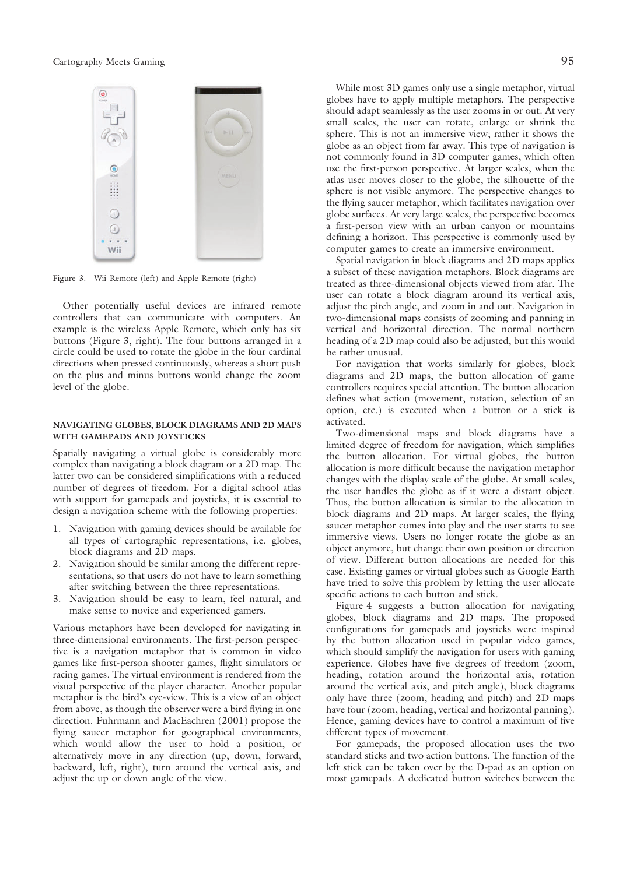

Figure 3. Wii Remote (left) and Apple Remote (right)

Other potentially useful devices are infrared remote controllers that can communicate with computers. An example is the wireless Apple Remote, which only has six buttons (Figure 3, right). The four buttons arranged in a circle could be used to rotate the globe in the four cardinal directions when pressed continuously, whereas a short push on the plus and minus buttons would change the zoom level of the globe.

## NAVIGATING GLOBES, BLOCK DIAGRAMS AND 2D MAPS WITH GAMEPADS AND JOYSTICKS

Spatially navigating a virtual globe is considerably more complex than navigating a block diagram or a 2D map. The latter two can be considered simplifications with a reduced number of degrees of freedom. For a digital school atlas with support for gamepads and joysticks, it is essential to design a navigation scheme with the following properties:

- 1. Navigation with gaming devices should be available for all types of cartographic representations, i.e. globes, block diagrams and 2D maps.
- 2. Navigation should be similar among the different representations, so that users do not have to learn something after switching between the three representations.
- 3. Navigation should be easy to learn, feel natural, and make sense to novice and experienced gamers.

Various metaphors have been developed for navigating in three-dimensional environments. The first-person perspective is a navigation metaphor that is common in video games like first-person shooter games, flight simulators or racing games. The virtual environment is rendered from the visual perspective of the player character. Another popular metaphor is the bird's eye-view. This is a view of an object from above, as though the observer were a bird flying in one direction. Fuhrmann and MacEachren (2001) propose the flying saucer metaphor for geographical environments, which would allow the user to hold a position, or alternatively move in any direction (up, down, forward, backward, left, right), turn around the vertical axis, and adjust the up or down angle of the view.

While most 3D games only use a single metaphor, virtual globes have to apply multiple metaphors. The perspective should adapt seamlessly as the user zooms in or out. At very small scales, the user can rotate, enlarge or shrink the sphere. This is not an immersive view; rather it shows the globe as an object from far away. This type of navigation is not commonly found in 3D computer games, which often use the first-person perspective. At larger scales, when the atlas user moves closer to the globe, the silhouette of the sphere is not visible anymore. The perspective changes to the flying saucer metaphor, which facilitates navigation over globe surfaces. At very large scales, the perspective becomes a first-person view with an urban canyon or mountains defining a horizon. This perspective is commonly used by computer games to create an immersive environment.

Spatial navigation in block diagrams and 2D maps applies a subset of these navigation metaphors. Block diagrams are treated as three-dimensional objects viewed from afar. The user can rotate a block diagram around its vertical axis, adjust the pitch angle, and zoom in and out. Navigation in two-dimensional maps consists of zooming and panning in vertical and horizontal direction. The normal northern heading of a 2D map could also be adjusted, but this would be rather unusual.

For navigation that works similarly for globes, block diagrams and 2D maps, the button allocation of game controllers requires special attention. The button allocation defines what action (movement, rotation, selection of an option, etc.) is executed when a button or a stick is activated.

Two-dimensional maps and block diagrams have a limited degree of freedom for navigation, which simplifies the button allocation. For virtual globes, the button allocation is more difficult because the navigation metaphor changes with the display scale of the globe. At small scales, the user handles the globe as if it were a distant object. Thus, the button allocation is similar to the allocation in block diagrams and 2D maps. At larger scales, the flying saucer metaphor comes into play and the user starts to see immersive views. Users no longer rotate the globe as an object anymore, but change their own position or direction of view. Different button allocations are needed for this case. Existing games or virtual globes such as Google Earth have tried to solve this problem by letting the user allocate specific actions to each button and stick.

Figure 4 suggests a button allocation for navigating globes, block diagrams and 2D maps. The proposed configurations for gamepads and joysticks were inspired by the button allocation used in popular video games, which should simplify the navigation for users with gaming experience. Globes have five degrees of freedom (zoom, heading, rotation around the horizontal axis, rotation around the vertical axis, and pitch angle), block diagrams only have three (zoom, heading and pitch) and 2D maps have four (zoom, heading, vertical and horizontal panning). Hence, gaming devices have to control a maximum of five different types of movement.

For gamepads, the proposed allocation uses the two standard sticks and two action buttons. The function of the left stick can be taken over by the D-pad as an option on most gamepads. A dedicated button switches between the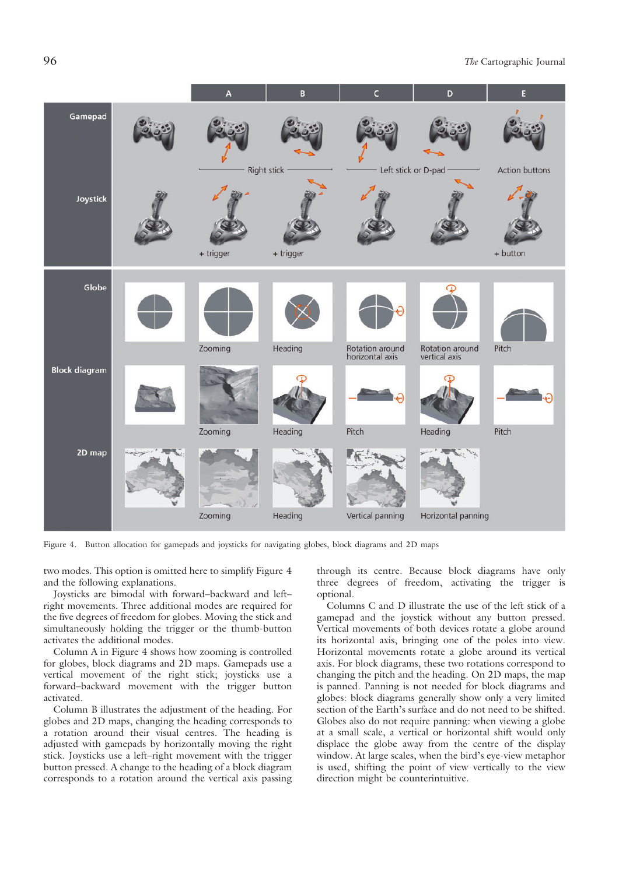

Figure 4. Button allocation for gamepads and joysticks for navigating globes, block diagrams and 2D maps

two modes. This option is omitted here to simplify Figure 4 and the following explanations.

Joysticks are bimodal with forward–backward and left– right movements. Three additional modes are required for the five degrees of freedom for globes. Moving the stick and simultaneously holding the trigger or the thumb-button activates the additional modes.

Column A in Figure 4 shows how zooming is controlled for globes, block diagrams and 2D maps. Gamepads use a vertical movement of the right stick; joysticks use a forward–backward movement with the trigger button activated.

Column B illustrates the adjustment of the heading. For globes and 2D maps, changing the heading corresponds to a rotation around their visual centres. The heading is adjusted with gamepads by horizontally moving the right stick. Joysticks use a left–right movement with the trigger button pressed. A change to the heading of a block diagram corresponds to a rotation around the vertical axis passing

through its centre. Because block diagrams have only three degrees of freedom, activating the trigger is optional.

Columns C and D illustrate the use of the left stick of a gamepad and the joystick without any button pressed. Vertical movements of both devices rotate a globe around its horizontal axis, bringing one of the poles into view. Horizontal movements rotate a globe around its vertical axis. For block diagrams, these two rotations correspond to changing the pitch and the heading. On 2D maps, the map is panned. Panning is not needed for block diagrams and globes: block diagrams generally show only a very limited section of the Earth's surface and do not need to be shifted. Globes also do not require panning: when viewing a globe at a small scale, a vertical or horizontal shift would only displace the globe away from the centre of the display window. At large scales, when the bird's eye-view metaphor is used, shifting the point of view vertically to the view direction might be counterintuitive.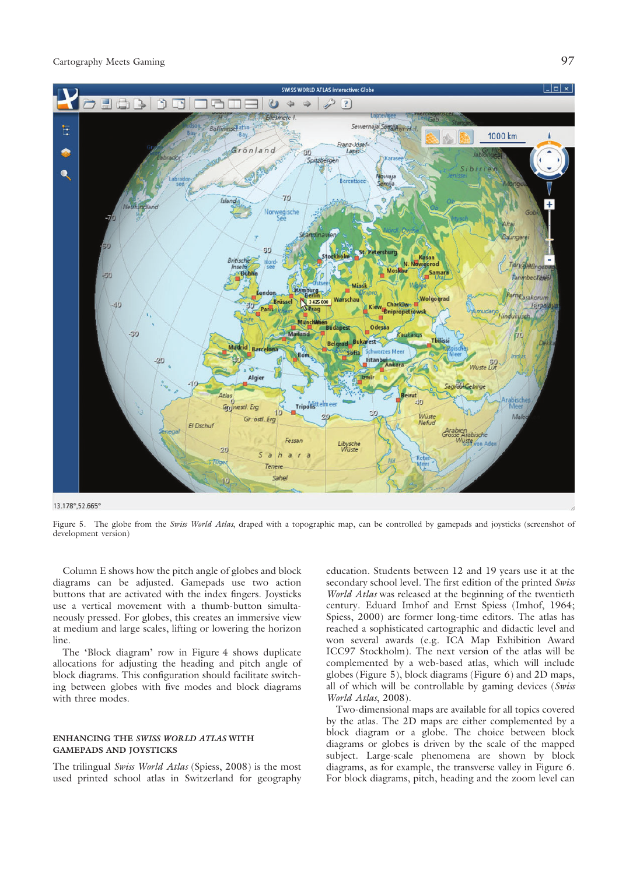

Figure 5. The globe from the Swiss World Atlas, draped with a topographic map, can be controlled by gamepads and joysticks (screenshot of development version)

Column E shows how the pitch angle of globes and block diagrams can be adjusted. Gamepads use two action buttons that are activated with the index fingers. Joysticks use a vertical movement with a thumb-button simultaneously pressed. For globes, this creates an immersive view at medium and large scales, lifting or lowering the horizon line.

The 'Block diagram' row in Figure 4 shows duplicate allocations for adjusting the heading and pitch angle of block diagrams. This configuration should facilitate switching between globes with five modes and block diagrams with three modes.

## ENHANCING THE SWISS WORLD ATLAS WITH GAMEPADS AND JOYSTICKS

The trilingual Swiss World Atlas (Spiess, 2008) is the most used printed school atlas in Switzerland for geography education. Students between 12 and 19 years use it at the secondary school level. The first edition of the printed Swiss World Atlas was released at the beginning of the twentieth century. Eduard Imhof and Ernst Spiess (Imhof, 1964; Spiess, 2000) are former long-time editors. The atlas has reached a sophisticated cartographic and didactic level and won several awards (e.g. ICA Map Exhibition Award ICC97 Stockholm). The next version of the atlas will be complemented by a web-based atlas, which will include globes (Figure 5), block diagrams (Figure 6) and 2D maps, all of which will be controllable by gaming devices (Swiss World Atlas, 2008).

Two-dimensional maps are available for all topics covered by the atlas. The 2D maps are either complemented by a block diagram or a globe. The choice between block diagrams or globes is driven by the scale of the mapped subject. Large-scale phenomena are shown by block diagrams, as for example, the transverse valley in Figure 6. For block diagrams, pitch, heading and the zoom level can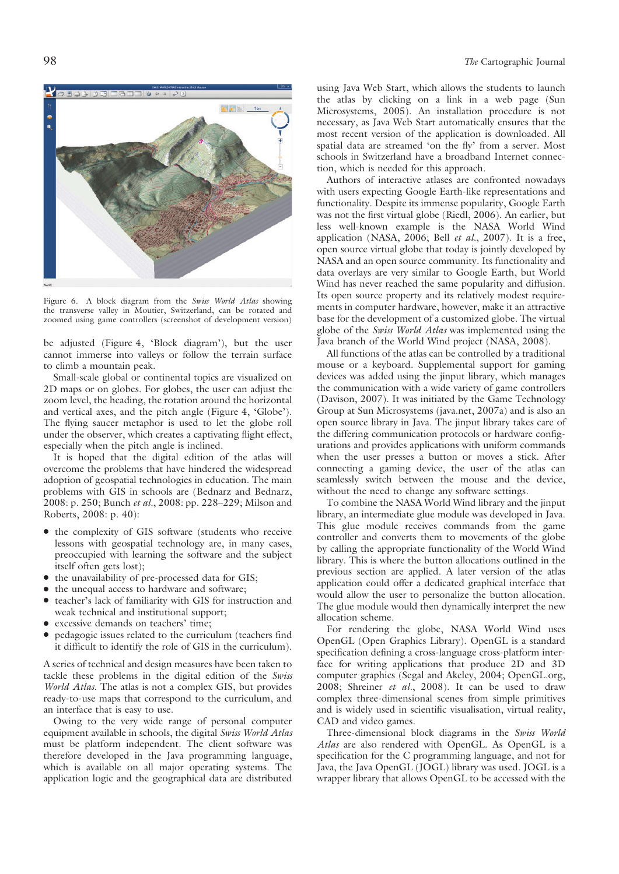

Figure 6. A block diagram from the Swiss World Atlas showing the transverse valley in Moutier, Switzerland, can be rotated and zoomed using game controllers (screenshot of development version)

be adjusted (Figure 4, 'Block diagram'), but the user cannot immerse into valleys or follow the terrain surface to climb a mountain peak.

Small-scale global or continental topics are visualized on 2D maps or on globes. For globes, the user can adjust the zoom level, the heading, the rotation around the horizontal and vertical axes, and the pitch angle (Figure 4, 'Globe'). The flying saucer metaphor is used to let the globe roll under the observer, which creates a captivating flight effect, especially when the pitch angle is inclined.

It is hoped that the digital edition of the atlas will overcome the problems that have hindered the widespread adoption of geospatial technologies in education. The main problems with GIS in schools are (Bednarz and Bednarz, 2008: p. 250; Bunch et al., 2008: pp. 228–229; Milson and Roberts, 2008: p. 40):

- the complexity of GIS software (students who receive lessons with geospatial technology are, in many cases, preoccupied with learning the software and the subject itself often gets lost);
- the unavailability of pre-processed data for GIS;
- the unequal access to hardware and software;
- teacher's lack of familiarity with GIS for instruction and weak technical and institutional support;
- excessive demands on teachers' time;
- pedagogic issues related to the curriculum (teachers find it difficult to identify the role of GIS in the curriculum).

A series of technical and design measures have been taken to tackle these problems in the digital edition of the Swiss World Atlas. The atlas is not a complex GIS, but provides ready-to-use maps that correspond to the curriculum, and an interface that is easy to use.

Owing to the very wide range of personal computer equipment available in schools, the digital Swiss World Atlas must be platform independent. The client software was therefore developed in the Java programming language, which is available on all major operating systems. The application logic and the geographical data are distributed

using Java Web Start, which allows the students to launch the atlas by clicking on a link in a web page (Sun Microsystems, 2005). An installation procedure is not necessary, as Java Web Start automatically ensures that the most recent version of the application is downloaded. All spatial data are streamed 'on the fly' from a server. Most schools in Switzerland have a broadband Internet connection, which is needed for this approach.

Authors of interactive atlases are confronted nowadays with users expecting Google Earth-like representations and functionality. Despite its immense popularity, Google Earth was not the first virtual globe (Riedl, 2006). An earlier, but less well-known example is the NASA World Wind application (NASA,  $2006$ ; Bell et al.,  $2007$ ). It is a free, open source virtual globe that today is jointly developed by NASA and an open source community. Its functionality and data overlays are very similar to Google Earth, but World Wind has never reached the same popularity and diffusion. Its open source property and its relatively modest requirements in computer hardware, however, make it an attractive base for the development of a customized globe. The virtual globe of the Swiss World Atlas was implemented using the Java branch of the World Wind project (NASA, 2008).

All functions of the atlas can be controlled by a traditional mouse or a keyboard. Supplemental support for gaming devices was added using the jinput library, which manages the communication with a wide variety of game controllers (Davison, 2007). It was initiated by the Game Technology Group at Sun Microsystems (java.net, 2007a) and is also an open source library in Java. The jinput library takes care of the differing communication protocols or hardware configurations and provides applications with uniform commands when the user presses a button or moves a stick. After connecting a gaming device, the user of the atlas can seamlessly switch between the mouse and the device, without the need to change any software settings.

To combine the NASA World Wind library and the jinput library, an intermediate glue module was developed in Java. This glue module receives commands from the game controller and converts them to movements of the globe by calling the appropriate functionality of the World Wind library. This is where the button allocations outlined in the previous section are applied. A later version of the atlas application could offer a dedicated graphical interface that would allow the user to personalize the button allocation. The glue module would then dynamically interpret the new allocation scheme.

For rendering the globe, NASA World Wind uses OpenGL (Open Graphics Library). OpenGL is a standard specification defining a cross-language cross-platform interface for writing applications that produce 2D and 3D computer graphics (Segal and Akeley, 2004; OpenGL.org, 2008; Shreiner et al., 2008). It can be used to draw complex three-dimensional scenes from simple primitives and is widely used in scientific visualisation, virtual reality, CAD and video games.

Three-dimensional block diagrams in the Swiss World Atlas are also rendered with OpenGL. As OpenGL is a specification for the C programming language, and not for Java, the Java OpenGL (JOGL) library was used. JOGL is a wrapper library that allows OpenGL to be accessed with the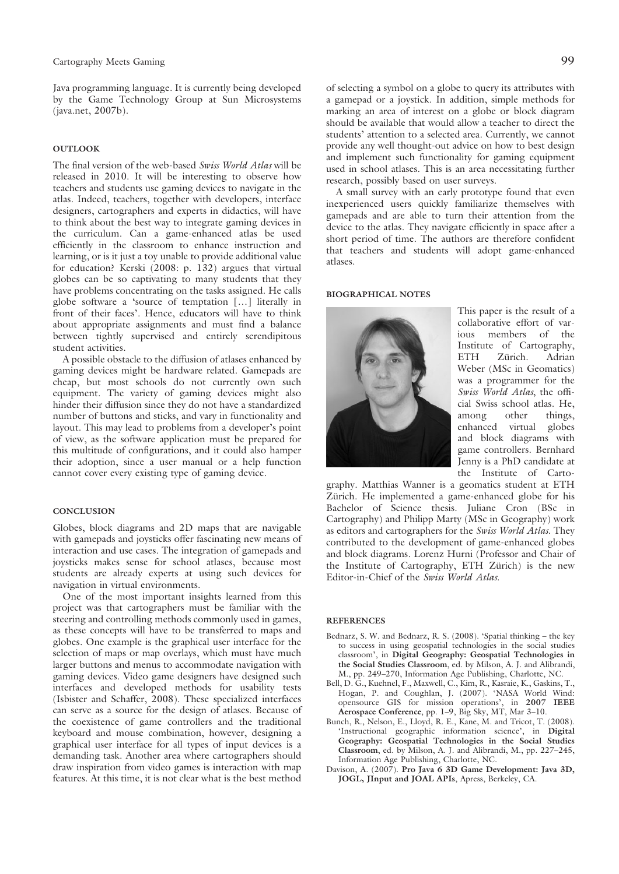Java programming language. It is currently being developed by the Game Technology Group at Sun Microsystems (java.net, 2007b).

## **OUTLOOK**

The final version of the web-based Swiss World Atlas will be released in 2010. It will be interesting to observe how teachers and students use gaming devices to navigate in the atlas. Indeed, teachers, together with developers, interface designers, cartographers and experts in didactics, will have to think about the best way to integrate gaming devices in the curriculum. Can a game-enhanced atlas be used efficiently in the classroom to enhance instruction and learning, or is it just a toy unable to provide additional value for education? Kerski (2008: p. 132) argues that virtual globes can be so captivating to many students that they have problems concentrating on the tasks assigned. He calls globe software a 'source of temptation […] literally in front of their faces'. Hence, educators will have to think about appropriate assignments and must find a balance between tightly supervised and entirely serendipitous student activities.

A possible obstacle to the diffusion of atlases enhanced by gaming devices might be hardware related. Gamepads are cheap, but most schools do not currently own such equipment. The variety of gaming devices might also hinder their diffusion since they do not have a standardized number of buttons and sticks, and vary in functionality and layout. This may lead to problems from a developer's point of view, as the software application must be prepared for this multitude of configurations, and it could also hamper their adoption, since a user manual or a help function cannot cover every existing type of gaming device.

## **CONCLUSION**

Globes, block diagrams and 2D maps that are navigable with gamepads and joysticks offer fascinating new means of interaction and use cases. The integration of gamepads and joysticks makes sense for school atlases, because most students are already experts at using such devices for navigation in virtual environments.

One of the most important insights learned from this project was that cartographers must be familiar with the steering and controlling methods commonly used in games, as these concepts will have to be transferred to maps and globes. One example is the graphical user interface for the selection of maps or map overlays, which must have much larger buttons and menus to accommodate navigation with gaming devices. Video game designers have designed such interfaces and developed methods for usability tests (Isbister and Schaffer, 2008). These specialized interfaces can serve as a source for the design of atlases. Because of the coexistence of game controllers and the traditional keyboard and mouse combination, however, designing a graphical user interface for all types of input devices is a demanding task. Another area where cartographers should draw inspiration from video games is interaction with map features. At this time, it is not clear what is the best method of selecting a symbol on a globe to query its attributes with a gamepad or a joystick. In addition, simple methods for marking an area of interest on a globe or block diagram should be available that would allow a teacher to direct the students' attention to a selected area. Currently, we cannot provide any well thought-out advice on how to best design and implement such functionality for gaming equipment used in school atlases. This is an area necessitating further research, possibly based on user surveys.

A small survey with an early prototype found that even inexperienced users quickly familiarize themselves with gamepads and are able to turn their attention from the device to the atlas. They navigate efficiently in space after a short period of time. The authors are therefore confident that teachers and students will adopt game-enhanced atlases.

#### BIOGRAPHICAL NOTES



This paper is the result of a collaborative effort of various members of the Institute of Cartography, ETH Zürich. Adrian Weber (MSc in Geomatics) was a programmer for the Swiss World Atlas, the official Swiss school atlas. He, among other things, enhanced virtual globes and block diagrams with game controllers. Bernhard Jenny is a PhD candidate at the Institute of Carto-

graphy. Matthias Wanner is a geomatics student at ETH Zürich. He implemented a game-enhanced globe for his Bachelor of Science thesis. Juliane Cron (BSc in Cartography) and Philipp Marty (MSc in Geography) work as editors and cartographers for the Swiss World Atlas. They contributed to the development of game-enhanced globes and block diagrams. Lorenz Hurni (Professor and Chair of the Institute of Cartography, ETH Zürich) is the new Editor-in-Chief of the Swiss World Atlas.

#### **REFERENCES**

- Bednarz, S. W. and Bednarz, R. S. (2008). 'Spatial thinking the key to success in using geospatial technologies in the social studies classroom', in Digital Geography: Geospatial Technologies in the Social Studies Classroom, ed. by Milson, A. J. and Alibrandi, M., pp. 249–270, Information Age Publishing, Charlotte, NC.
- Bell, D. G., Kuehnel, F., Maxwell, C., Kim, R., Kasraie, K., Gaskins, T., Hogan, P. and Coughlan, J. (2007). 'NASA World Wind: opensource GIS for mission operations', in 2007 IEEE Aerospace Conference, pp. 1–9, Big Sky, MT, Mar 3–10.
- Bunch, R., Nelson, E., Lloyd, R. E., Kane, M. and Tricot, T. (2008). 'Instructional geographic information science', in Digital Geography: Geospatial Technologies in the Social Studies Classroom, ed. by Milson, A. J. and Alibrandi, M., pp. 227–245, Information Age Publishing, Charlotte, NC.
- Davison, A. (2007). Pro Java 6 3D Game Development: Java 3D, JOGL, JInput and JOAL APIs, Apress, Berkeley, CA.